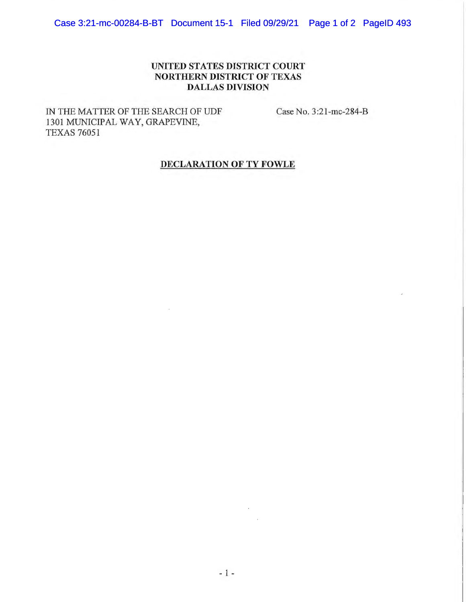## **UNITED STATES DISTRICT COURT NORTHERN DISTRICT OF TEXAS DALLAS DIVISION**

IN THE MATTER OF THE SEARCH OF UDF 1301 MUNICIPAL WAY, GRAPEVINE, TEXAS 76051

Case No. 3:21-mc-284-B

## **DECLARATION OF TY FOWLE**

 $\sim$   $\sim$